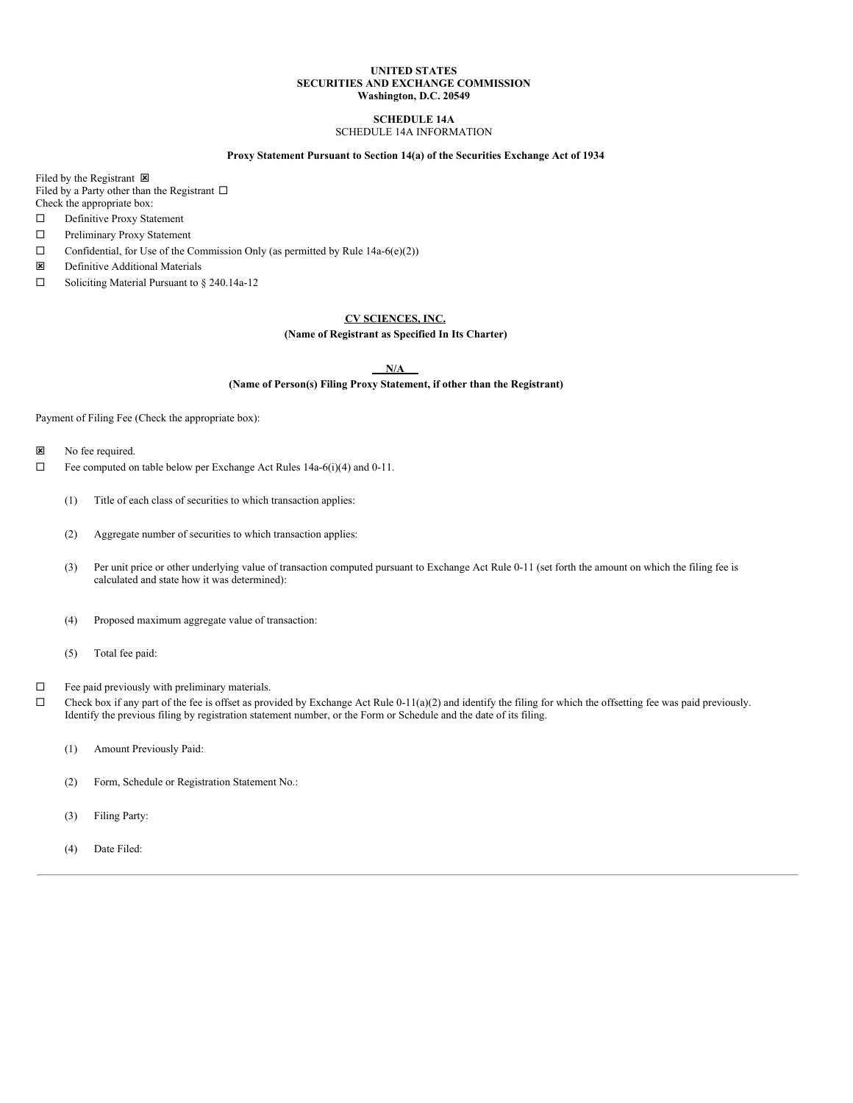## **UNITED STATES SECURITIES AND EXCHANGE COMMISSION Washington, D.C. 20549**

### **SCHEDULE 14A** SCHEDULE 14A INFORMATION

## **Proxy Statement Pursuant to Section 14(a) of the Securities Exchange Act of 1934**

Filed by the Registrant  $\boxtimes$ Filed by a Party other than the Registrant  $\square$ Check the appropriate box:

- □ Definitive Proxy Statement
- □ Preliminary Proxy Statement
- $\Box$  Confidential, for Use of the Commission Only (as permitted by Rule 14a-6(e)(2))
- $\boxtimes$  Definitive Additional Materials
- $\Box$  Soliciting Material Pursuant to § 240.14a-12

## **CV SCIENCES, INC.**

## **(Name of Registrant as Specified In Its Charter)**

**N/A**

## **(Name of Person(s) Filing Proxy Statement, if other than the Registrant)**

Payment of Filing Fee (Check the appropriate box):

- **x** No fee required.
- $\Box$  Fee computed on table below per Exchange Act Rules 14a-6(i)(4) and 0-11.
	- (1) Title of each class of securities to which transaction applies:
	- (2) Aggregate number of securities to which transaction applies:
	- (3) Per unit price or other underlying value of transaction computed pursuant to Exchange Act Rule 0-11 (set forth the amount on which the filing fee is calculated and state how it was determined):
	- (4) Proposed maximum aggregate value of transaction:
	- (5) Total fee paid:
- $\Box$  Fee paid previously with preliminary materials.
- $\Box$  Check box if any part of the fee is offset as provided by Exchange Act Rule 0-11(a)(2) and identify the filing for which the offsetting fee was paid previously. Identify the previous filing by registration statement number, or the Form or Schedule and the date of its filing.
	- (1) Amount Previously Paid:
	- (2) Form, Schedule or Registration Statement No.:
	- (3) Filing Party:
	- (4) Date Filed: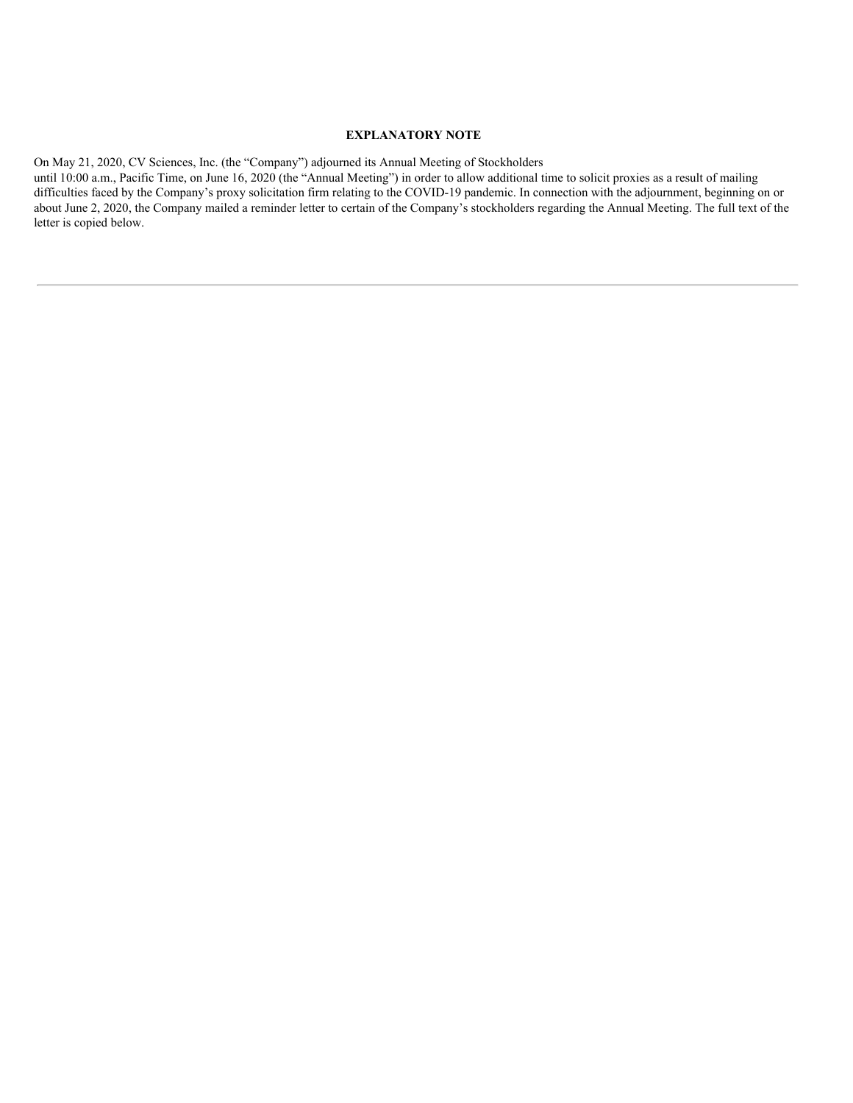# **EXPLANATORY NOTE**

On May 21, 2020, CV Sciences, Inc. (the "Company") adjourned its Annual Meeting of Stockholders

until 10:00 a.m., Pacific Time, on June 16, 2020 (the "Annual Meeting") in order to allow additional time to solicit proxies as a result of mailing difficulties faced by the Company's proxy solicitation firm relating to the COVID-19 pandemic. In connection with the adjournment, beginning on or about June 2, 2020, the Company mailed a reminder letter to certain of the Company's stockholders regarding the Annual Meeting. The full text of the letter is copied below.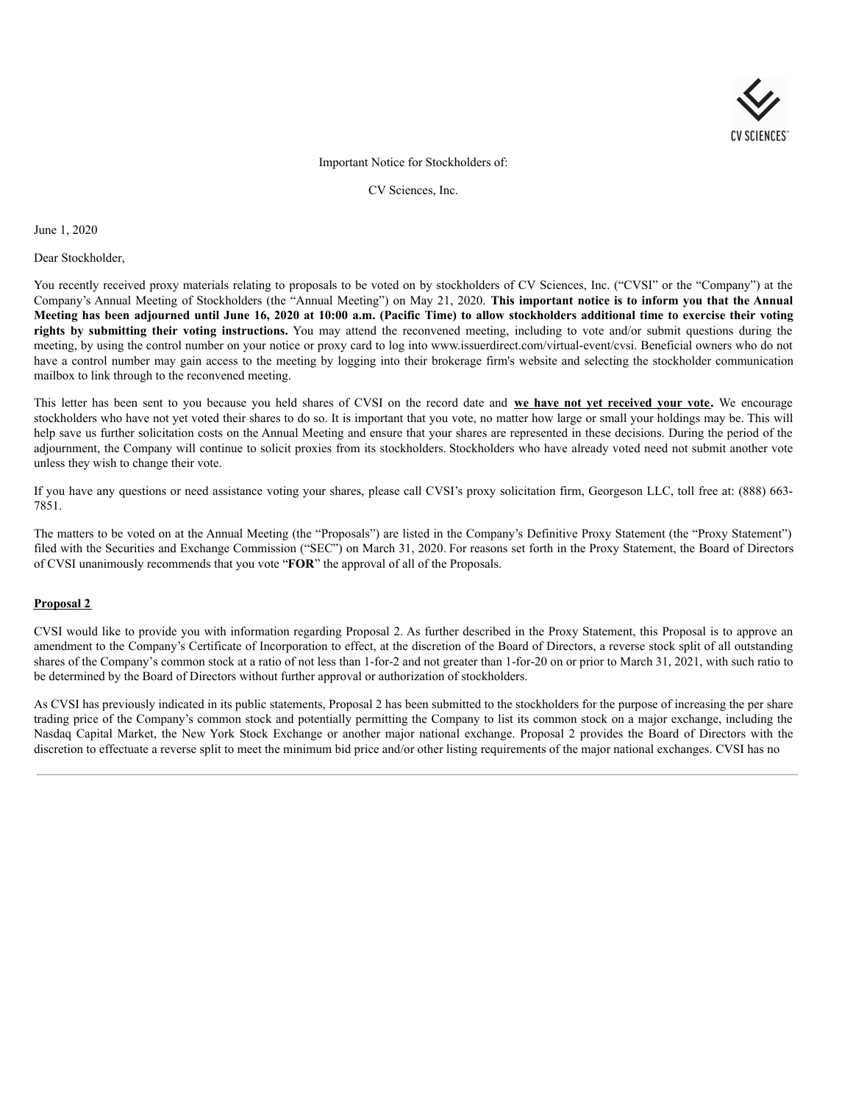

# Important Notice for Stockholders of:

CV Sciences, Inc.

June 1, 2020

## Dear Stockholder,

You recently received proxy materials relating to proposals to be voted on by stockholders of CV Sciences, Inc. ("CVSI" or the "Company") at the Company's Annual Meeting of Stockholders (the "Annual Meeting") on May 21, 2020. **This important notice is to inform you that the Annual** Meeting has been adjourned until June 16, 2020 at 10:00 a.m. (Pacific Time) to allow stockholders additional time to exercise their voting **rights by submitting their voting instructions.** You may attend the reconvened meeting, including to vote and/or submit questions during the meeting, by using the control number on your notice or proxy card to log into www.issuerdirect.com/virtual-event/cvsi. Beneficial owners who do not have a control number may gain access to the meeting by logging into their brokerage firm's website and selecting the stockholder communication mailbox to link through to the reconvened meeting.

This letter has been sent to you because you held shares of CVSI on the record date and **we have not yet received your vote.** We encourage stockholders who have not yet voted their shares to do so. It is important that you vote, no matter how large or small your holdings may be. This will help save us further solicitation costs on the Annual Meeting and ensure that your shares are represented in these decisions. During the period of the adjournment, the Company will continue to solicit proxies from its stockholders. Stockholders who have already voted need not submit another vote unless they wish to change their vote.

If you have any questions or need assistance voting your shares, please call CVSI's proxy solicitation firm, Georgeson LLC, toll free at: (888) 663- 7851.

The matters to be voted on at the Annual Meeting (the "Proposals") are listed in the Company's Definitive Proxy Statement (the "Proxy Statement") filed with the Securities and Exchange Commission ("SEC") on March 31, 2020. For reasons set forth in the Proxy Statement, the Board of Directors of CVSI unanimously recommends that you vote "**FOR**" the approval of all of the Proposals.

# **Proposal 2**

CVSI would like to provide you with information regarding Proposal 2. As further described in the Proxy Statement, this Proposal is to approve an amendment to the Company's Certificate of Incorporation to effect, at the discretion of the Board of Directors, a reverse stock split of all outstanding shares of the Company's common stock at a ratio of not less than 1-for-2 and not greater than 1-for-20 on or prior to March 31, 2021, with such ratio to be determined by the Board of Directors without further approval or authorization of stockholders.

As CVSI has previously indicated in its public statements, Proposal 2 has been submitted to the stockholders for the purpose of increasing the per share trading price of the Company's common stock and potentially permitting the Company to list its common stock on a major exchange, including the Nasdaq Capital Market, the New York Stock Exchange or another major national exchange. Proposal 2 provides the Board of Directors with the discretion to effectuate a reverse split to meet the minimum bid price and/or other listing requirements of the major national exchanges. CVSI has no